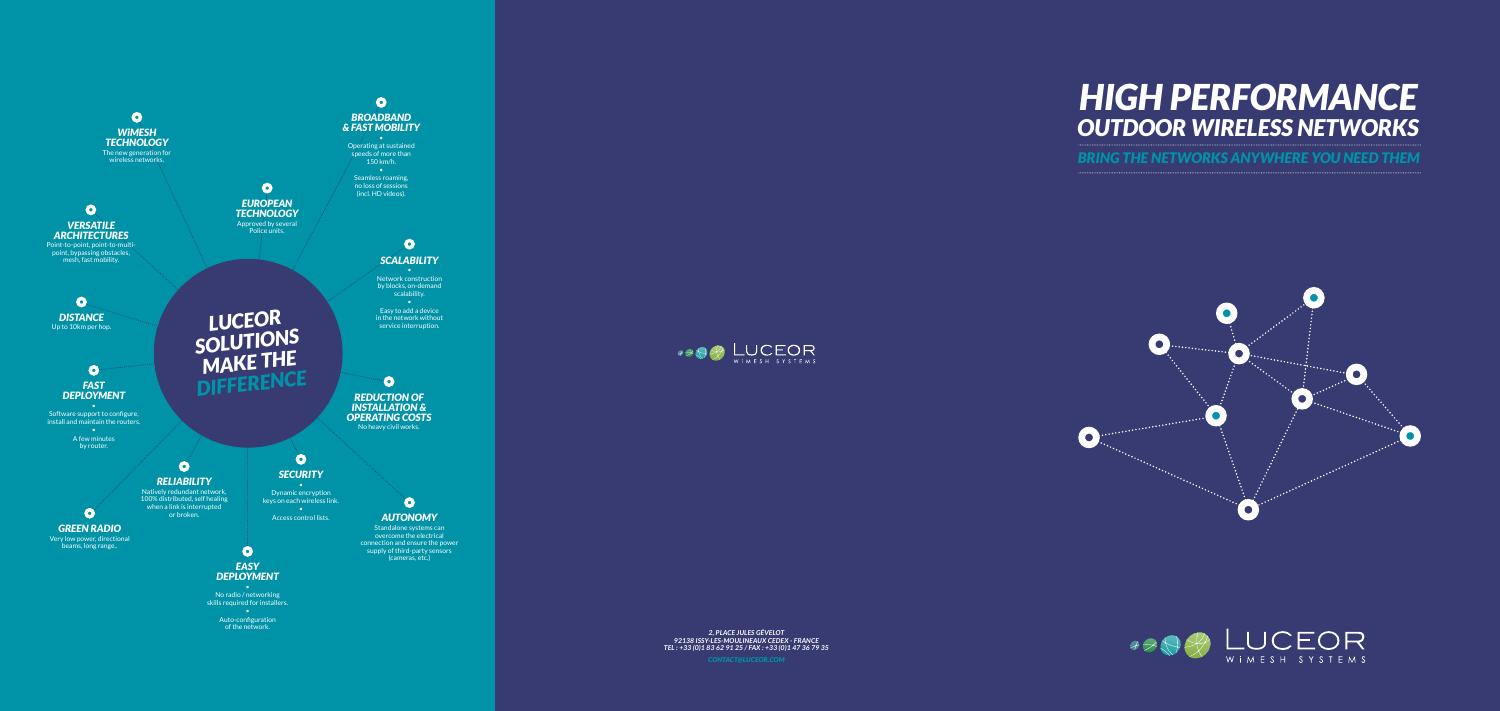# *HI GH PERFORMANCE* **OUTDOOR WIRELESS NETWORKS**

**BRING THE NETWORKS ANYWHERE YOU NEED THEM** 









4904 LUCEOR

*2, Place Jules Gévelot*  92138 ISSY-LES-MOULINEAUX CEDEX - FRA *Tel : +33 (0)1 83 62 91 25 / Fax : +33 (0)1 47 36 79 35*

*contact@l u ce o r.co*